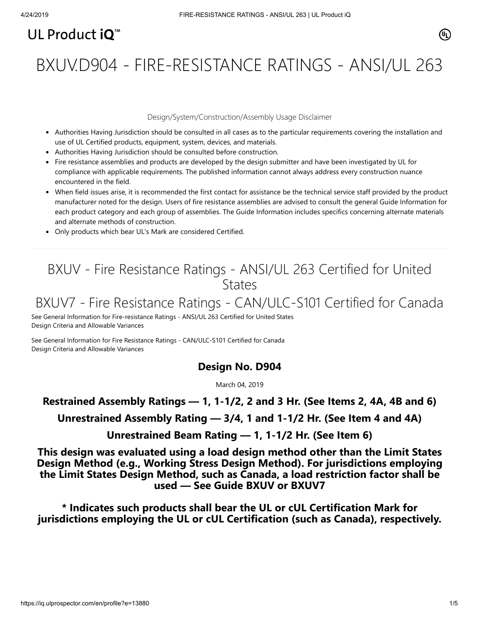# UL Product  $i\mathbf{O}^m$

# BXUV.D904 - FIRE-RESISTANCE RATINGS - ANSI/UL 263

#### Design/System/Construction/Assembly Usage Disclaimer

- Authorities Having Jurisdiction should be consulted in all cases as to the particular requirements covering the installation and use of UL Certified products, equipment, system, devices, and materials.
- Authorities Having Jurisdiction should be consulted before construction.
- Fire resistance assemblies and products are developed by the design submitter and have been investigated by UL for compliance with applicable requirements. The published information cannot always address every construction nuance encountered in the field.
- When field issues arise, it is recommended the first contact for assistance be the technical service staff provided by the product manufacturer noted for the design. Users of fire resistance assemblies are advised to consult the general Guide Information for each product category and each group of assemblies. The Guide Information includes specifics concerning alternate materials and alternate methods of construction.
- Only products which bear UL's Mark are considered Certified.

## BXUV - Fire Resistance Ratings - ANSI/UL 263 Certified for United **States**

# BXUV7 - Fire Resistance Ratings - CAN/ULC-S101 Certified for Canada

[See General Information for Fire-resistance Ratings - ANSI/UL 263 Certified for United States](https://iq.ulprospector.com/cgi-bin/XYV/template/LISEXT/1FRAME/showpage.html?name=BXUV.GuideInfo&ccnshorttitle=Fire-resistance+Ratings+-+ANSI/UL+263&objid=1074327030&cfgid=1073741824&version=versionless&parent_id=1073984818&sequence=1) Design Criteria and Allowable Variances

[See General Information for Fire Resistance Ratings - CAN/ULC-S101 Certified for Canada](https://iq.ulprospector.com/cgi-bin/XYV/template/LISEXT/1FRAME/showpage.html?name=BXUV7.GuideInfo&ccnshorttitle=Fire+Resistance+Ratings+-+CAN/ULC-S101+Certified+for+Canada&objid=1074205658&cfgid=1073741824&version=versionless&parent_id=1073984820&sequence=1) Design Criteria and Allowable Variances

## **Design No. D904**

March 04, 2019

## **Restrained Assembly Ratings — 1, 1-1/2, 2 and 3 Hr. (See Items 2, 4A, 4B and 6)**

**Unrestrained Assembly Rating — 3/4, 1 and 1-1/2 Hr. (See Item 4 and 4A)**

**Unrestrained Beam Rating — 1, 1-1/2 Hr. (See Item 6)**

**This design was evaluated using a load design method other than the Limit States Design Method (e.g., Working Stress Design Method). For jurisdictions employing the Limit States Design Method, such as Canada, a load restriction factor shall be used — See Guide [BXUV](https://database.ul.com/cgi-bin/XYV/template/LISEXT/1FRAME/showpage.html?name=BXUV.GuideInfo&ccnshorttitle=Fire-resistance+Ratings+-+ANSI/UL+263&objid=1074327030&cfgid=1073741824&version=versionless&parent_id=1073984818&sequence=1) or [BXUV7](https://database.ul.com/cgi-bin/XYV/template/LISEXT/1FRAME/showpage.html?name=BXUV7.GuideInfo&ccnshorttitle=Fire+Resistance+Ratings+-+CAN/ULC-S101M+Certified+for+Canada&objid=1074205658&cfgid=1073741824&version=versionless&parent_id=1073984820&sequence=1)**

**\* Indicates such products shall bear the UL or cUL Certification Mark for jurisdictions employing the UL or cUL Certification (such as Canada), respectively.**

⁄ඔ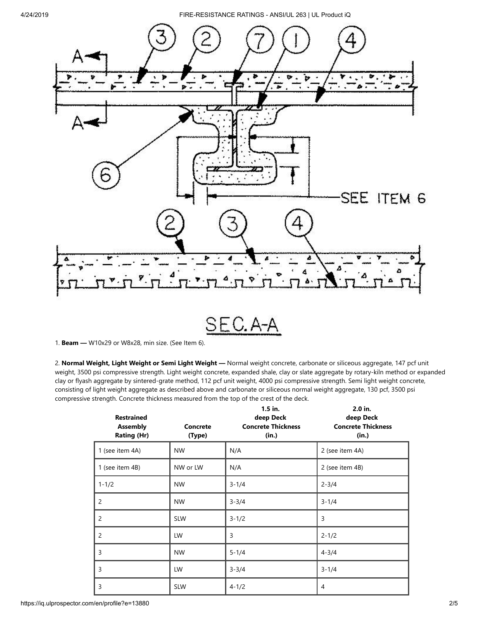4/24/2019 FIRE-RESISTANCE RATINGS - ANSI/UL 263 | UL Product iQ



1. **Beam —** W10x29 or W8x28, min size. (See Item 6).

2. **Normal Weight, Light Weight or Semi Light Weight —** Normal weight concrete, carbonate or siliceous aggregate, 147 pcf unit weight, 3500 psi compressive strength. Light weight concrete, expanded shale, clay or slate aggregate by rotary-kiln method or expanded clay or flyash aggregate by sintered-grate method, 112 pcf unit weight, 4000 psi compressive strength. Semi light weight concrete, consisting of light weight aggregate as described above and carbonate or siliceous normal weight aggregate, 130 pcf, 3500 psi compressive strength. Concrete thickness measured from the top of the crest of the deck.

| <b>Restrained</b><br><b>Assembly</b><br><b>Rating (Hr)</b> | <b>Concrete</b><br>(Type) | $1.5$ in.<br>deep Deck<br><b>Concrete Thickness</b><br>(in.) | 2.0 in.<br>deep Deck<br><b>Concrete Thickness</b><br>(in.) |
|------------------------------------------------------------|---------------------------|--------------------------------------------------------------|------------------------------------------------------------|
| 1 (see item 4A)                                            | <b>NW</b>                 | N/A                                                          | 2 (see item 4A)                                            |
| 1 (see item 4B)                                            | NW or LW                  | N/A                                                          | 2 (see item 4B)                                            |
| $1 - 1/2$                                                  | <b>NW</b>                 | $3 - 1/4$                                                    | $2 - 3/4$                                                  |
| $\overline{c}$                                             | <b>NW</b>                 | $3 - 3/4$                                                    | $3 - 1/4$                                                  |
| $\overline{c}$                                             | <b>SLW</b>                | $3 - 1/2$                                                    | 3                                                          |
| $\overline{2}$                                             | <b>LW</b>                 | 3                                                            | $2 - 1/2$                                                  |
| 3                                                          | <b>NW</b>                 | $5 - 1/4$                                                    | $4 - 3/4$                                                  |
| 3                                                          | LW                        | $3 - 3/4$                                                    | $3 - 1/4$                                                  |
| 3                                                          | <b>SLW</b>                | $4 - 1/2$                                                    | 4                                                          |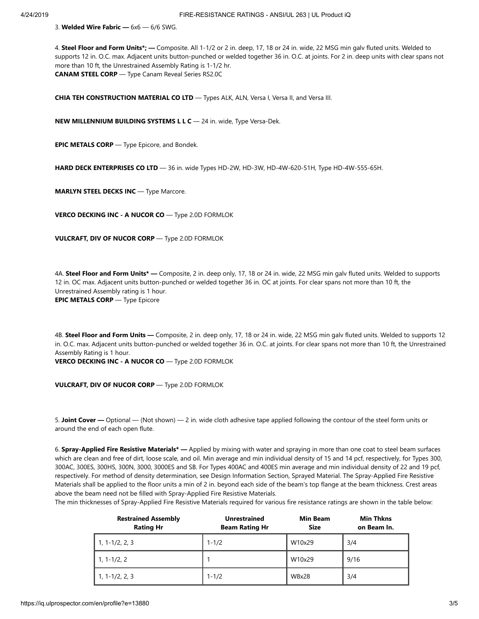3. **Welded Wire Fabric —** 6x6 — 6/6 SWG.

4. **Steel Floor and Form Units\*; —** Composite. All 1-1/2 or 2 in. deep, 17, 18 or 24 in. wide, 22 MSG min galv fluted units. Welded to supports 12 in. O.C. max. Adjacent units button-punched or welded together 36 in. O.C. at joints. For 2 in. deep units with clear spans not more than 10 ft, the Unrestrained Assembly Rating is 1-1/2 hr. **CANAM STEEL CORP** — Type Canam Reveal Series RS2.0C

**CHIA TEH CONSTRUCTION MATERIAL CO LTD** - Types ALK, ALN, Versa I, Versa II, and Versa III.

**NEW MILLENNIUM BUILDING SYSTEMS L L C** — 24 in. wide, Type Versa-Dek.

**EPIC METALS CORP** — Type Epicore, and Bondek.

**HARD DECK ENTERPRISES CO LTD** — 36 in. wide Types HD-2W, HD-3W, HD-4W-620-51H, Type HD-4W-555-65H.

**MARLYN STEEL DECKS INC** — Type Marcore.

**VERCO DECKING INC - A NUCOR CO** — Type 2.0D FORMLOK

**VULCRAFT, DIV OF NUCOR CORP** — Type 2.0D FORMLOK

4A. **Steel Floor and Form Units\* —** Composite, 2 in. deep only, 17, 18 or 24 in. wide, 22 MSG min galv fluted units. Welded to supports 12 in. OC max. Adjacent units button-punched or welded together 36 in. OC at joints. For clear spans not more than 10 ft, the Unrestrained Assembly rating is 1 hour. **EPIC METALS CORP** — Type Epicore

4B. **Steel Floor and Form Units —** Composite, 2 in. deep only, 17, 18 or 24 in. wide, 22 MSG min galv fluted units. Welded to supports 12 in. O.C. max. Adjacent units button-punched or welded together 36 in. O.C. at joints. For clear spans not more than 10 ft, the Unrestrained Assembly Rating is 1 hour.

**VERCO DECKING INC - A NUCOR CO** — Type 2.0D FORMLOK

**VULCRAFT, DIV OF NUCOR CORP** — Type 2.0D FORMLOK

5. **Joint Cover —** Optional — (Not shown) — 2 in. wide cloth adhesive tape applied following the contour of the steel form units or around the end of each open flute.

6. **Spray-Applied Fire Resistive Materials\* —** Applied by mixing with water and spraying in more than one coat to steel beam surfaces which are clean and free of dirt, loose scale, and oil. Min average and min individual density of 15 and 14 pcf, respectively, for Types 300, 300AC, 300ES, 300HS, 300N, 3000, 3000ES and SB. For Types 400AC and 400ES min average and min individual density of 22 and 19 pcf, respectively. For method of density determination, see Design Information Section, Sprayed Material. The Spray-Applied Fire Resistive Materials shall be applied to the floor units a min of 2 in. beyond each side of the beam's top flange at the beam thickness. Crest areas above the beam need not be filled with Spray-Applied Fire Resistive Materials.

The min thicknesses of Spray-Applied Fire Resistive Materials required for various fire resistance ratings are shown in the table below:

| <b>Restrained Assembly</b><br><b>Rating Hr</b> | <b>Unrestrained</b><br><b>Beam Rating Hr</b> | <b>Min Beam</b><br><b>Size</b> | <b>Min Thkns</b><br>on Beam In. |
|------------------------------------------------|----------------------------------------------|--------------------------------|---------------------------------|
| $1, 1 - 1/2, 2, 3$                             | $1 - 1/2$                                    | W10x29                         | 3/4                             |
| $1, 1 - 1/2, 2$                                |                                              | W10x29                         | 9/16                            |
| $1, 1 - 1/2, 2, 3$                             | $1 - 1/2$                                    | W8x28                          | 3/4                             |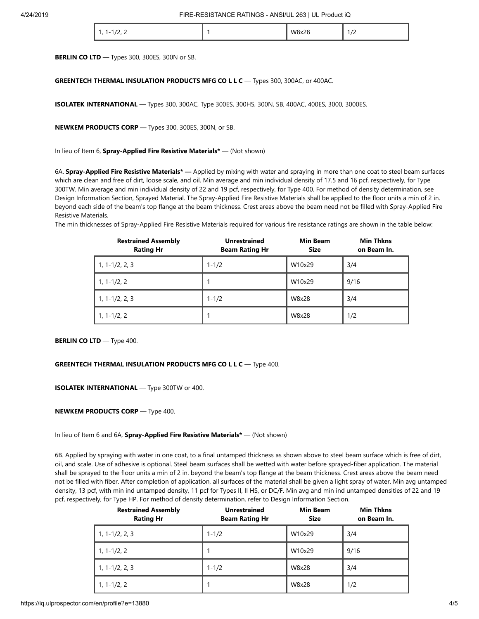|  | .<br>. .<br><u>_, _</u> |  | W8x28<br>. | $\overline{1}$<br>. |
|--|-------------------------|--|------------|---------------------|
|--|-------------------------|--|------------|---------------------|

**BERLIN CO LTD** — Types 300, 300ES, 300N or SB.

#### **GREENTECH THERMAL INSULATION PRODUCTS MFG CO L L C** — Types 300, 300AC, or 400AC.

**ISOLATEK INTERNATIONAL** — Types 300, 300AC, Type 300ES, 300HS, 300N, SB, 400AC, 400ES, 3000, 3000ES.

**NEWKEM PRODUCTS CORP** — Types 300, 300ES, 300N, or SB.

In lieu of Item 6, **Spray-Applied Fire Resistive Materials\*** — (Not shown)

6A. **Spray-Applied Fire Resistive Materials\* —** Applied by mixing with water and spraying in more than one coat to steel beam surfaces which are clean and free of dirt, loose scale, and oil. Min average and min individual density of 17.5 and 16 pcf, respectively, for Type 300TW. Min average and min individual density of 22 and 19 pcf, respectively, for Type 400. For method of density determination, see Design Information Section, Sprayed Material. The Spray-Applied Fire Resistive Materials shall be applied to the floor units a min of 2 in. beyond each side of the beam's top flange at the beam thickness. Crest areas above the beam need not be filled with Spray-Applied Fire Resistive Materials.

The min thicknesses of Spray-Applied Fire Resistive Materials required for various fire resistance ratings are shown in the table below:

| <b>Restrained Assembly</b><br><b>Rating Hr</b> | <b>Unrestrained</b><br><b>Beam Rating Hr</b> | <b>Min Beam</b><br><b>Size</b> | <b>Min Thkns</b><br>on Beam In. |
|------------------------------------------------|----------------------------------------------|--------------------------------|---------------------------------|
| $1, 1 - 1/2, 2, 3$                             | $1 - 1/2$                                    | W10x29                         | 3/4                             |
| $1, 1 - 1/2, 2$                                |                                              | W10x29                         | 9/16                            |
| $1, 1 - 1/2, 2, 3$                             | $1 - 1/2$                                    | W8x28                          | 3/4                             |
| $1, 1 - 1/2, 2$                                |                                              | W8x28                          | 1/2                             |

**BERLIN CO LTD** - Type 400.

#### **GREENTECH THERMAL INSULATION PRODUCTS MFG CO L L C** — Type 400.

**ISOLATEK INTERNATIONAL** — Type 300TW or 400.

**NEWKEM PRODUCTS CORP** — Type 400.

In lieu of Item 6 and 6A, **Spray-Applied Fire Resistive Materials\*** — (Not shown)

6B. Applied by spraying with water in one coat, to a final untamped thickness as shown above to steel beam surface which is free of dirt, oil, and scale. Use of adhesive is optional. Steel beam surfaces shall be wetted with water before sprayed-fiber application. The material shall be sprayed to the floor units a min of 2 in. beyond the beam's top flange at the beam thickness. Crest areas above the beam need not be filled with fiber. After completion of application, all surfaces of the material shall be given a light spray of water. Min avg untamped density, 13 pcf, with min ind untamped density, 11 pcf for Types II, II HS, or DC/F. Min avg and min ind untamped densities of 22 and 19 pcf, respectively, for Type HP. For method of density determination, refer to Design Information Section.

| <b>Restrained Assembly</b><br><b>Rating Hr</b> | <b>Unrestrained</b><br><b>Beam Rating Hr</b> | <b>Min Beam</b><br><b>Size</b> | <b>Min Thkns</b><br>on Beam In. |
|------------------------------------------------|----------------------------------------------|--------------------------------|---------------------------------|
| $1, 1 - 1/2, 2, 3$                             | $1 - 1/2$                                    | W10x29                         | 3/4                             |
| $1, 1 - 1/2, 2$                                |                                              | W10x29                         | 9/16                            |
| $1, 1 - 1/2, 2, 3$                             | $1 - 1/2$                                    | W8x28                          | 3/4                             |
| $1, 1 - 1/2, 2$                                |                                              | W8x28                          | 1/2                             |